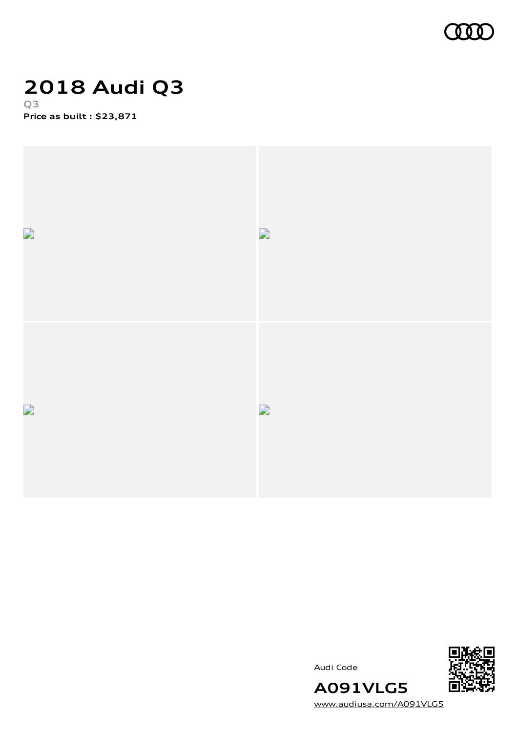

## **2018 Audi Q3 Q3**

**Price as built [:](#page-9-0) \$23,871**



Audi Code



[www.audiusa.com/A091VLG5](https://www.audiusa.com/A091VLG5)

**A091VLG5**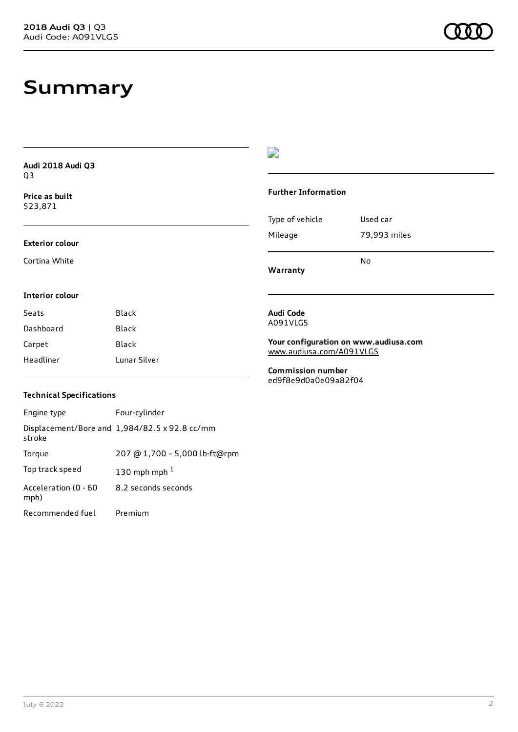# **Summary**

| Audi 2018 Audi Q3          |              | ⋍                                                                             |              |
|----------------------------|--------------|-------------------------------------------------------------------------------|--------------|
| Q3                         |              |                                                                               |              |
| Price as built<br>\$23,871 |              | <b>Further Information</b>                                                    |              |
|                            |              | Type of vehicle                                                               | Used car     |
| <b>Exterior colour</b>     |              | Mileage                                                                       | 79,993 miles |
| Cortina White              |              | Warranty                                                                      | No           |
| Interior colour            |              |                                                                               |              |
| Seats                      | <b>Black</b> | Audi Code                                                                     |              |
| Dashboard                  | Black        | A091VLG5<br>Your configuration on www.audiusa.com<br>www.audiusa.com/A091VLG5 |              |
| Carpet                     | Black        |                                                                               |              |
| Headliner                  | Lunar Silver |                                                                               |              |
|                            |              | <b>Commission number</b><br>ed9f8e9d0a0e09a82f04                              |              |

### **Technical Specifications**

| Engine type                  | Four-cylinder                                 |
|------------------------------|-----------------------------------------------|
| stroke                       | Displacement/Bore and 1,984/82.5 x 92.8 cc/mm |
| Torque                       | 207 @ 1,700 - 5,000 lb-ft@rpm                 |
| Top track speed              | 130 mph mph $1$                               |
| Acceleration (0 - 60<br>mph) | 8.2 seconds seconds                           |
| Recommended fuel             | Premium                                       |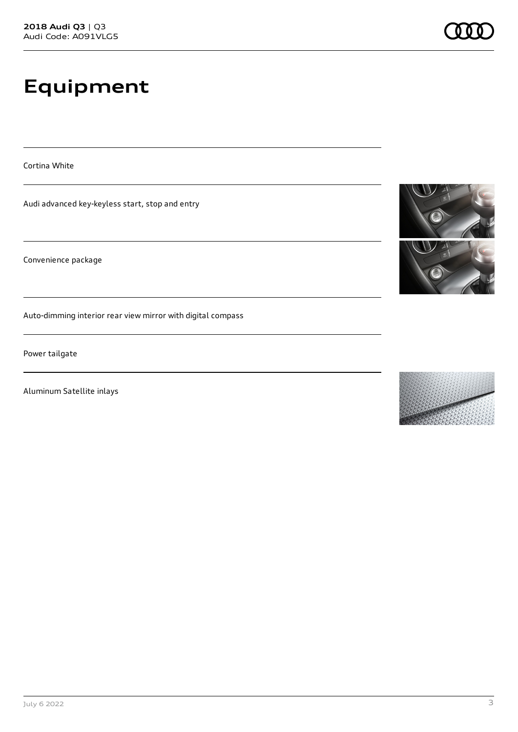# **Equipment**

Cortina White

Audi advanced key-keyless start, stop and entry

Convenience package

Auto-dimming interior rear view mirror with digital compass

Power tailgate

Aluminum Satellite inlays



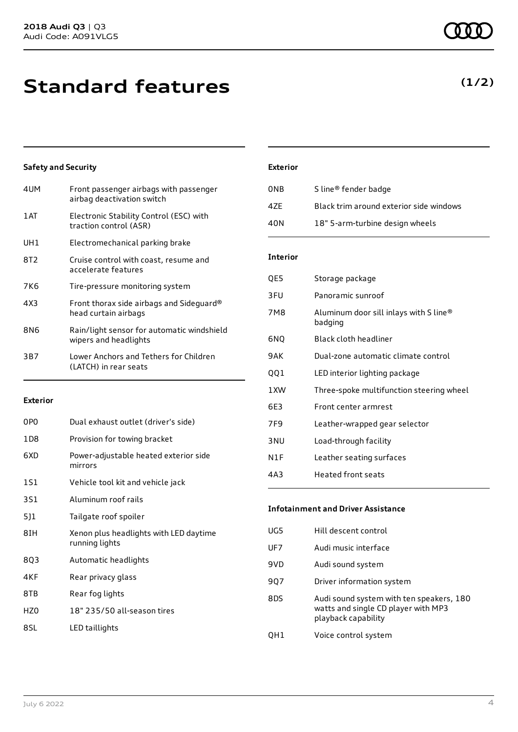# **Standard features**

### **Safety and Security**

| 4UM  | Front passenger airbags with passenger<br>airbag deactivation switch |
|------|----------------------------------------------------------------------|
| 1 AT | Electronic Stability Control (ESC) with<br>traction control (ASR)    |
| UH1  | Electromechanical parking brake                                      |
| 8T2  | Cruise control with coast, resume and<br>accelerate features         |
| 7K6  | Tire-pressure monitoring system                                      |
| 4X3  | Front thorax side airbags and Sideguard®<br>head curtain airbags     |
| 8N6  | Rain/light sensor for automatic windshield<br>wipers and headlights  |
| 3B7  | Lower Anchors and Tethers for Children<br>(LATCH) in rear seats      |
|      |                                                                      |

#### **Exterior**

| 0PO   | Dual exhaust outlet (driver's side)                      |
|-------|----------------------------------------------------------|
| 1 D 8 | Provision for towing bracket                             |
| 6XD   | Power-adjustable heated exterior side<br>mirrors         |
| 1S1   | Vehicle tool kit and vehicle jack                        |
| 3S1   | Aluminum roof rails                                      |
| 5]1   | Tailgate roof spoiler                                    |
| 8IH   | Xenon plus headlights with LED daytime<br>running lights |
| 803   | Automatic headlights                                     |
| 4KF   | Rear privacy glass                                       |
| 8TB   | Rear fog lights                                          |
| HZ0   | 18" 235/50 all-season tires                              |
| 8SL   | LED taillights                                           |

### **Exterior**

| 0NB | S line <sup>®</sup> fender badge        |
|-----|-----------------------------------------|
| 47F | Black trim around exterior side windows |
| 40N | 18" 5-arm-turbine design wheels         |

#### **Interior**

| QE5             | Storage package                                   |
|-----------------|---------------------------------------------------|
| 3FU             | Panoramic sunroof                                 |
| 7M8             | Aluminum door sill inlays with S line®<br>badging |
| 6NQ             | Black cloth headliner                             |
| 9AK             | Dual-zone automatic climate control               |
| 001             | LED interior lighting package                     |
| 1XW             | Three-spoke multifunction steering wheel          |
| 6E3             | Front center armrest                              |
| 7F9             | Leather-wrapped gear selector                     |
| 3 <sub>NU</sub> | Load-through facility                             |
| N1F             | Leather seating surfaces                          |
| 4A3             | Heated front seats                                |

### **Infotainment and Driver Assistance**

| UG5 | Hill descent control                                                                                   |
|-----|--------------------------------------------------------------------------------------------------------|
| UF7 | Audi music interface                                                                                   |
| 9VD | Audi sound system                                                                                      |
| 907 | Driver information system                                                                              |
| 8DS | Audi sound system with ten speakers, 180<br>watts and single CD player with MP3<br>playback capability |
| OH1 | Voice control system                                                                                   |

### **(1/2)**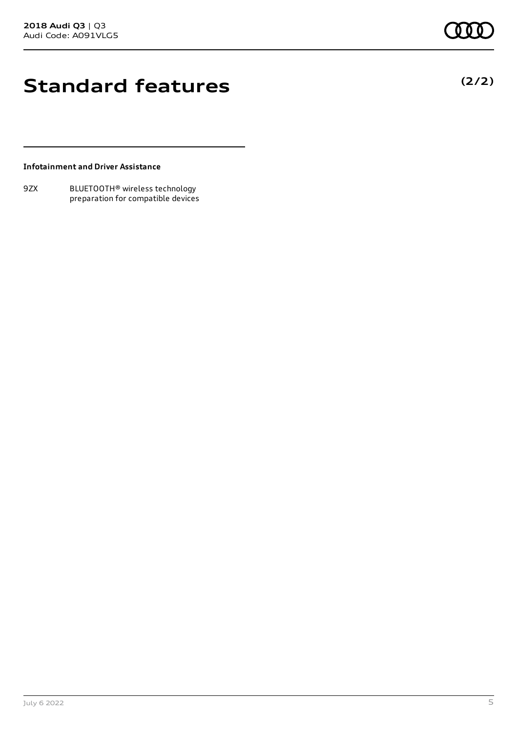## **Standard features**

#### **Infotainment and Driver Assistance**

9ZX BLUETOOTH® wireless technology preparation for compatible devices **(2/2)**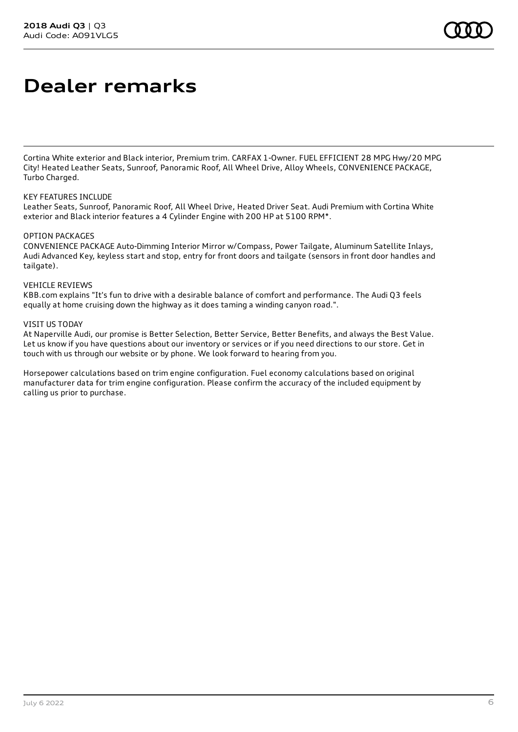# **Dealer remarks**

Cortina White exterior and Black interior, Premium trim. CARFAX 1-Owner. FUEL EFFICIENT 28 MPG Hwy/20 MPG City! Heated Leather Seats, Sunroof, Panoramic Roof, All Wheel Drive, Alloy Wheels, CONVENIENCE PACKAGE, Turbo Charged.

#### KEY FEATURES INCLUDE

Leather Seats, Sunroof, Panoramic Roof, All Wheel Drive, Heated Driver Seat. Audi Premium with Cortina White exterior and Black interior features a 4 Cylinder Engine with 200 HP at 5100 RPM\*.

#### OPTION PACKAGES

CONVENIENCE PACKAGE Auto-Dimming Interior Mirror w/Compass, Power Tailgate, Aluminum Satellite Inlays, Audi Advanced Key, keyless start and stop, entry for front doors and tailgate (sensors in front door handles and tailgate).

#### VEHICLE REVIEWS

KBB.com explains "It's fun to drive with a desirable balance of comfort and performance. The Audi Q3 feels equally at home cruising down the highway as it does taming a winding canyon road.".

#### VISIT US TODAY

At Naperville Audi, our promise is Better Selection, Better Service, Better Benefits, and always the Best Value. Let us know if you have questions about our inventory or services or if you need directions to our store. Get in touch with us through our website or by phone. We look forward to hearing from you.

Horsepower calculations based on trim engine configuration. Fuel economy calculations based on original manufacturer data for trim engine configuration. Please confirm the accuracy of the included equipment by calling us prior to purchase.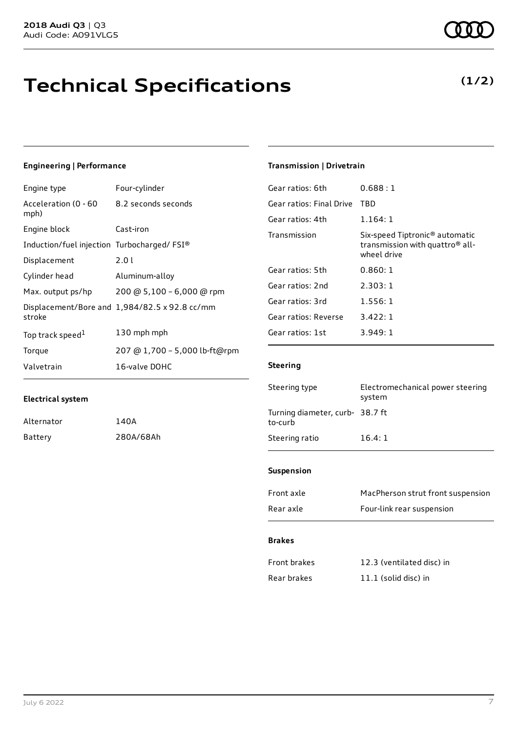# **Technical Specifications**

### **Engineering | Performance**

| Engine type                                | Four-cylinder                                 |
|--------------------------------------------|-----------------------------------------------|
| Acceleration (0 - 60<br>mph)               | 8.2 seconds seconds                           |
| Engine block                               | Cast-iron                                     |
| Induction/fuel injection Turbocharged/FSI® |                                               |
| Displacement                               | 2.0 L                                         |
| Cylinder head                              | Aluminum-alloy                                |
| Max. output ps/hp                          | 200 @ 5,100 - 6,000 @ rpm                     |
| stroke                                     | Displacement/Bore and 1,984/82.5 x 92.8 cc/mm |
| Top track speed <sup>1</sup>               | 130 mph mph                                   |
| Torque                                     | 207 @ 1,700 - 5,000 lb-ft@rpm                 |
| Valvetrain                                 | 16-valve DOHC                                 |

### **Electrical system**

| Alternator | 140A      |
|------------|-----------|
| Battery    | 280A/68Ah |

### **Transmission | Drivetrain**

| Gear ratios: 6th         | 0.688 : 1                                                                                                |
|--------------------------|----------------------------------------------------------------------------------------------------------|
| Gear ratios: Final Drive | TBD                                                                                                      |
| Gear ratios: 4th         | 1.164:1                                                                                                  |
| Transmission             | Six-speed Tiptronic <sup>®</sup> automatic<br>transmission with quattro <sup>®</sup> all-<br>wheel drive |
| Gear ratios: 5th         | 0.860: 1                                                                                                 |
| Gear ratios: 2nd         | 2.303:1                                                                                                  |
| Gear ratios: 3rd         | 1.556:1                                                                                                  |
| Gear ratios: Reverse     | 3.422:1                                                                                                  |
| Gear ratios: 1st         | 3.949:1                                                                                                  |

#### **Steering**

| Steering type                              | Electromechanical power steering<br>system |
|--------------------------------------------|--------------------------------------------|
| Turning diameter, curb- 38.7 ft<br>to-curb |                                            |
| Steering ratio                             | 16.4:1                                     |

#### **Suspension**

| Front axle | MacPherson strut front suspension |
|------------|-----------------------------------|
| Rear axle  | Four-link rear suspension         |

#### **Brakes**

| Front brakes | 12.3 (ventilated disc) in |
|--------------|---------------------------|
| Rear brakes  | 11.1 (solid disc) in      |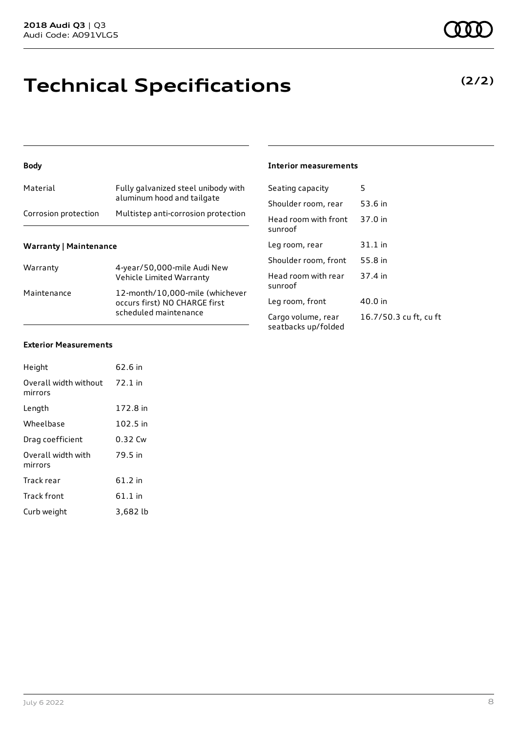# **Technical Specifications**

### **Body**

| Material             | Fully galvanized steel unibody with<br>aluminum hood and tailgate |
|----------------------|-------------------------------------------------------------------|
| Corrosion protection | Multistep anti-corrosion protection                               |
|                      |                                                                   |

#### **Warranty | Maintenance**

| Warranty    | 4-year/50,000-mile Audi New<br>Vehicle Limited Warranty                                   |
|-------------|-------------------------------------------------------------------------------------------|
| Maintenance | 12-month/10,000-mile (whichever<br>occurs first) NO CHARGE first<br>scheduled maintenance |

#### **Interior measurements**

| Seating capacity                          | 5                      |
|-------------------------------------------|------------------------|
| Shoulder room, rear                       | 53.6 in                |
| Head room with front<br>sunroof           | 37.0 in                |
| Leg room, rear                            | 31.1 in                |
| Shoulder room, front                      | 55.8 in                |
| Head room with rear<br>sunroof            | 37.4 in                |
| Leg room, front                           | 40.0 in                |
| Cargo volume, rear<br>seatbacks up/folded | 16.7/50.3 cu ft, cu ft |

#### **Exterior Measurements**

| Height                           | 62.6 in   |
|----------------------------------|-----------|
| Overall width without<br>mirrors | $72.1$ in |
| Length                           | 172.8 in  |
| Wheelbase                        | 102.5 in  |
| Drag coefficient                 | 0.32 Cw   |
| Overall width with<br>mirrors    | 79.5 in   |
| Track rear                       | 61.2 in   |
| <b>Track front</b>               | $61.1$ in |
| Curb weight                      | 3,682 lb  |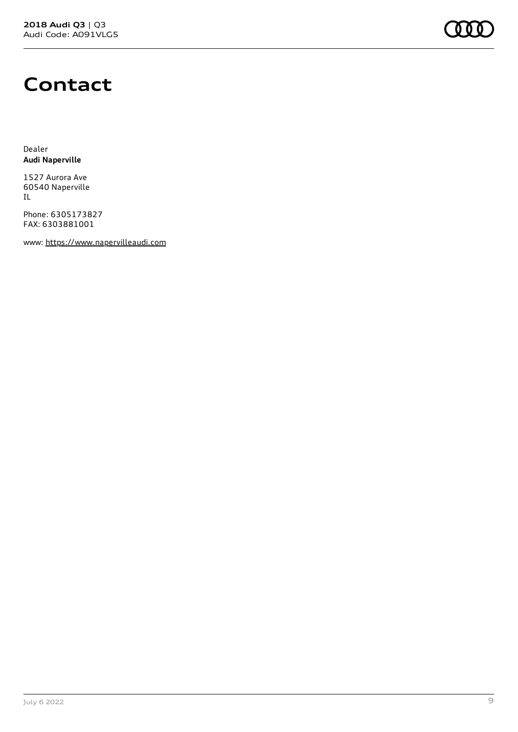

## **Contact**

Dealer **Audi Naperville**

1527 Aurora Ave 60540 Naperville IL

Phone: 6305173827 FAX: 6303881001

www: [https://www.napervilleaudi.com](https://www.napervilleaudi.com/)